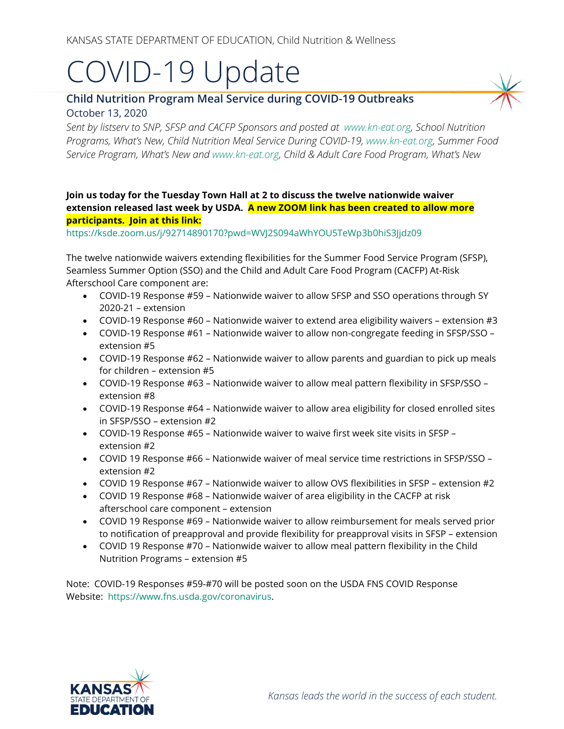# COVID-19 Update

# **Child Nutrition Program Meal Service during COVID-19 Outbreaks** October 13, 2020

*Sent by listserv to SNP, SFSP and CACFP Sponsors and posted at [www.kn-eat.org,](http://www.kn-eat.org/) School Nutrition Programs, What's New, Child Nutrition Meal Service During COVID-19, [www.kn-eat.org,](http://www.kn-eat.org/) Summer Food Service Program, What's New and [www.kn-eat.org,](http://www.kn-eat.org/) Child & Adult Care Food Program, What's New* 

## **Join us today for the Tuesday Town Hall at 2 to discuss the twelve nationwide waiver extension released last week by USDA. A new ZOOM link has been created to allow more participants. Join at this link:**

<https://ksde.zoom.us/j/92714890170?pwd=WVJ2S094aWhYOU5TeWp3b0hiS3Jjdz09>

The twelve nationwide waivers extending flexibilities for the Summer Food Service Program (SFSP), Seamless Summer Option (SSO) and the Child and Adult Care Food Program (CACFP) At-Risk Afterschool Care component are:

- COVID-19 Response #59 Nationwide waiver to allow SFSP and SSO operations through SY 2020-21 – extension
- COVID-19 Response  $#60$  Nationwide waiver to extend area eligibility waivers extension  $#3$
- COVID-19 Response #61 Nationwide waiver to allow non-congregate feeding in SFSP/SSO extension #5
- COVID-19 Response #62 Nationwide waiver to allow parents and guardian to pick up meals for children – extension #5
- COVID-19 Response #63 Nationwide waiver to allow meal pattern flexibility in SFSP/SSO extension #8
- COVID-19 Response #64 Nationwide waiver to allow area eligibility for closed enrolled sites in SFSP/SSO – extension #2
- COVID-19 Response #65 Nationwide waiver to waive first week site visits in SFSP extension #2
- COVID 19 Response #66 Nationwide waiver of meal service time restrictions in SFSP/SSO extension #2
- COVID 19 Response #67 Nationwide waiver to allow OVS flexibilities in SFSP extension #2
- COVID 19 Response #68 Nationwide waiver of area eligibility in the CACFP at risk afterschool care component – extension
- COVID 19 Response #69 Nationwide waiver to allow reimbursement for meals served prior to notification of preapproval and provide flexibility for preapproval visits in SFSP – extension
- COVID 19 Response #70 Nationwide waiver to allow meal pattern flexibility in the Child Nutrition Programs – extension #5

Note: COVID-19 Responses #59-#70 will be posted soon on the USDA FNS COVID Response Website: [https://www.fns.usda.gov/coronavirus.](https://www.fns.usda.gov/coronavirus)